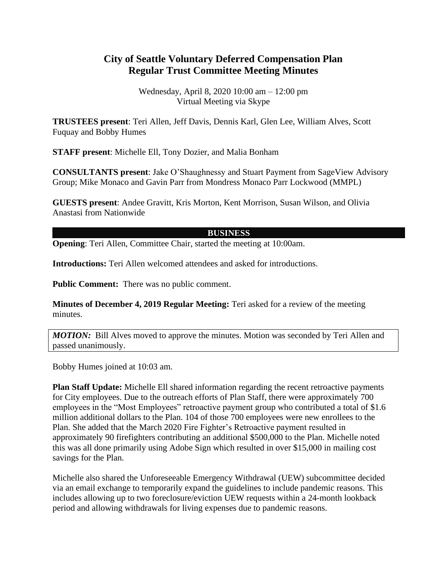## **City of Seattle Voluntary Deferred Compensation Plan Regular Trust Committee Meeting Minutes**

Wednesday, April 8, 2020 10:00 am – 12:00 pm Virtual Meeting via Skype

**TRUSTEES present**: Teri Allen, Jeff Davis, Dennis Karl, Glen Lee, William Alves, Scott Fuquay and Bobby Humes

**STAFF present**: Michelle Ell, Tony Dozier, and Malia Bonham

**CONSULTANTS present**: Jake O'Shaughnessy and Stuart Payment from SageView Advisory Group; Mike Monaco and Gavin Parr from Mondress Monaco Parr Lockwood (MMPL)

**GUESTS present**: Andee Gravitt, Kris Morton, Kent Morrison, Susan Wilson, and Olivia Anastasi from Nationwide

## **BUSINESS**

**Opening**: Teri Allen, Committee Chair, started the meeting at 10:00am.

**Introductions:** Teri Allen welcomed attendees and asked for introductions.

**Public Comment:** There was no public comment.

**Minutes of December 4, 2019 Regular Meeting:** Teri asked for a review of the meeting minutes.

**MOTION:** Bill Alves moved to approve the minutes. Motion was seconded by Teri Allen and passed unanimously.

Bobby Humes joined at 10:03 am.

**Plan Staff Update:** Michelle Ell shared information regarding the recent retroactive payments for City employees. Due to the outreach efforts of Plan Staff, there were approximately 700 employees in the "Most Employees" retroactive payment group who contributed a total of \$1.6 million additional dollars to the Plan. 104 of those 700 employees were new enrollees to the Plan. She added that the March 2020 Fire Fighter's Retroactive payment resulted in approximately 90 firefighters contributing an additional \$500,000 to the Plan. Michelle noted this was all done primarily using Adobe Sign which resulted in over \$15,000 in mailing cost savings for the Plan.

Michelle also shared the Unforeseeable Emergency Withdrawal (UEW) subcommittee decided via an email exchange to temporarily expand the guidelines to include pandemic reasons. This includes allowing up to two foreclosure/eviction UEW requests within a 24-month lookback period and allowing withdrawals for living expenses due to pandemic reasons.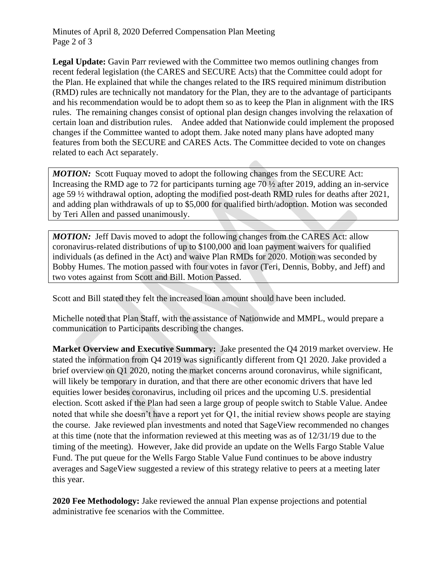Minutes of April 8, 2020 Deferred Compensation Plan Meeting Page 2 of 3

**Legal Update:** Gavin Parr reviewed with the Committee two memos outlining changes from recent federal legislation (the CARES and SECURE Acts) that the Committee could adopt for the Plan. He explained that while the changes related to the IRS required minimum distribution (RMD) rules are technically not mandatory for the Plan, they are to the advantage of participants and his recommendation would be to adopt them so as to keep the Plan in alignment with the IRS rules. The remaining changes consist of optional plan design changes involving the relaxation of certain loan and distribution rules. Andee added that Nationwide could implement the proposed changes if the Committee wanted to adopt them. Jake noted many plans have adopted many features from both the SECURE and CARES Acts. The Committee decided to vote on changes related to each Act separately.

*MOTION:* Scott Fuguay moved to adopt the following changes from the SECURE Act: Increasing the RMD age to 72 for participants turning age 70 ½ after 2019, adding an in-service age 59 ½ withdrawal option, adopting the modified post-death RMD rules for deaths after 2021, and adding plan withdrawals of up to \$5,000 for qualified birth/adoption. Motion was seconded by Teri Allen and passed unanimously.

*MOTION:* Jeff Davis moved to adopt the following changes from the CARES Act: allow coronavirus-related distributions of up to \$100,000 and loan payment waivers for qualified individuals (as defined in the Act) and waive Plan RMDs for 2020. Motion was seconded by Bobby Humes. The motion passed with four votes in favor (Teri, Dennis, Bobby, and Jeff) and two votes against from Scott and Bill. Motion Passed.

Scott and Bill stated they felt the increased loan amount should have been included.

Michelle noted that Plan Staff, with the assistance of Nationwide and MMPL, would prepare a communication to Participants describing the changes.

**Market Overview and Executive Summary:** Jake presented the Q4 2019 market overview. He stated the information from Q4 2019 was significantly different from Q1 2020. Jake provided a brief overview on Q1 2020, noting the market concerns around coronavirus, while significant, will likely be temporary in duration, and that there are other economic drivers that have led equities lower besides coronavirus, including oil prices and the upcoming U.S. presidential election. Scott asked if the Plan had seen a large group of people switch to Stable Value. Andee noted that while she doesn't have a report yet for Q1, the initial review shows people are staying the course. Jake reviewed plan investments and noted that SageView recommended no changes at this time (note that the information reviewed at this meeting was as of 12/31/19 due to the timing of the meeting). However, Jake did provide an update on the Wells Fargo Stable Value Fund. The put queue for the Wells Fargo Stable Value Fund continues to be above industry averages and SageView suggested a review of this strategy relative to peers at a meeting later this year.

**2020 Fee Methodology:** Jake reviewed the annual Plan expense projections and potential administrative fee scenarios with the Committee.